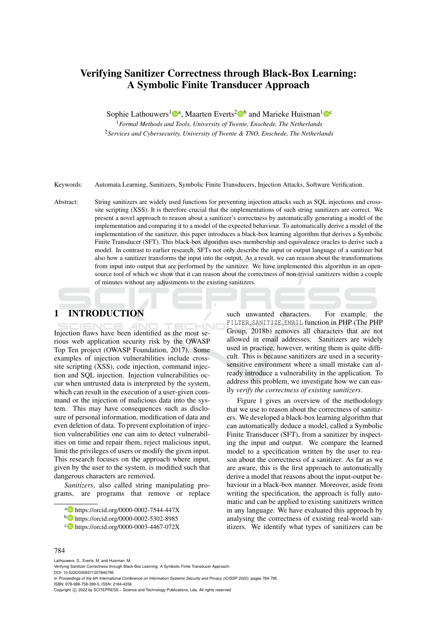# Verifying Sanitizer Correctness through Black-Box Learning: A Symbolic Finite Transducer Approach

Sophie Lathouwers<sup>1</sup><sup>®</sup>, Maarten Everts<sup>2</sup><sup>®</sup> and Marieke Huisman<sup>1</sup><sup>®</sup>

<sup>1</sup>*Formal Methods and Tools, University of Twente, Enschede, The Netherlands* <sup>2</sup>*Services and Cybersecurity, University of Twente & TNO, Enschede, The Netherlands*

Keywords: Automata Learning, Sanitizers, Symbolic Finite Transducers, Injection Attacks, Software Verification.

Abstract: String sanitizers are widely used functions for preventing injection attacks such as SQL injections and crosssite scripting (XSS). It is therefore crucial that the implementations of such string sanitizers are correct. We present a novel approach to reason about a sanitizer's correctness by automatically generating a model of the implementation and comparing it to a model of the expected behaviour. To automatically derive a model of the implementation of the sanitizer, this paper introduces a black-box learning algorithm that derives a Symbolic Finite Transducer (SFT). This black-box algorithm uses membership and equivalence oracles to derive such a model. In contrast to earlier research, SFTs not only describe the input or output language of a sanitizer but also how a sanitizer transforms the input into the output. As a result, we can reason about the transformations from input into output that are performed by the sanitizer. We have implemented this algorithm in an opensource tool of which we show that it can reason about the correctness of non-trivial sanitizers within a couple of minutes without any adjustments to the existing sanitizers.

# 1 INTRODUCTION

Injection flaws have been identified as the most serious web application security risk by the OWASP Top Ten project (OWASP Foundation, 2017). Some examples of injection vulnerabilities include crosssite scripting (XSS), code injection, command injection and SQL injection. Injection vulnerabilities occur when untrusted data is interpreted by the system, which can result in the execution of a user-given command or the injection of malicious data into the system. This may have consequences such as disclosure of personal information, modification of data and even deletion of data. To prevent exploitation of injection vulnerabilities one can aim to detect vulnerabilities on time and repair them, reject malicious input, limit the privileges of users or modify the given input. This research focuses on the approach where input, given by the user to the system, is modified such that dangerous characters are removed.

*Sanitizers*, also called string manipulating programs, are programs that remove or replace

such unwanted characters. For example, the FILTER SANITIZE EMAIL function in PHP (The PHP Group, 2018b) removes all characters that are not allowed in email addresses. Sanitizers are widely used in practice, however, writing them is quite difficult. This is because sanitizers are used in a securitysensitive environment where a small mistake can already introduce a vulnerability in the application. To address this problem, we investigate how we can easily *verify the correctness of existing sanitizers*.

Figure 1 gives an overview of the methodology that we use to reason about the correctness of sanitizers. We developed a black-box learning algorithm that can automatically deduce a model, called a Symbolic Finite Transducer (SFT), from a sanitizer by inspecting the input and output. We compare the learned model to a specification written by the user to reason about the correctness of a sanitizer. As far as we are aware, this is the first approach to automatically derive a model that reasons about the input-output behaviour in a black-box manner. Moreover, aside from writing the specification, the approach is fully automatic and can be applied to existing sanitizers written in any language. We have evaluated this approach by analysing the correctness of existing real-world sanitizers. We identify what types of sanitizers can be

#### 784

Lathouwers, S., Everts, M. and Huisman, M.

a **b** https://orcid.org/0000-0002-7544-447X

<sup>b</sup> https://orcid.org/0000-0002-5302-8985

<sup>c</sup> https://orcid.org/0000-0003-4467-072X

Verifying Sanitizer Correctness through Black-Box Learning: A Symbolic Finite Transducer Approach. DOI: 10.5220/0009371207840795 In *Proceedings of the 6th International Conference on Information Systems Security and Privacy (ICISSP 2020)*, pages 784-795 ISBN: 978-989-758-399-5; ISSN: 2184-4356 Copyright (C) 2022 by SCITEPRESS - Science and Technology Publications, Lda. All rights reserved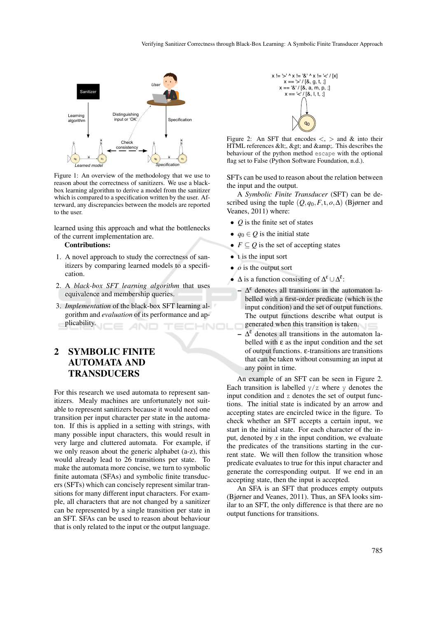

Figure 1: An overview of the methodology that we use to reason about the correctness of sanitizers. We use a blackbox learning algorithm to derive a model from the sanitizer which is compared to a specification written by the user. Afterward, any discrepancies between the models are reported to the user.

learned using this approach and what the bottlenecks of the current implementation are.

#### Contributions:

- 1. A novel approach to study the correctness of sanitizers by comparing learned models to a specification.
- 2. A *black-box SFT learning algorithm* that uses equivalence and membership queries.
- 3. *Implementation* of the black-box SFT learning algorithm and *evaluation* of its performance and applicability.

# 2 SYMBOLIC FINITE AUTOMATA AND TRANSDUCERS

For this research we used automata to represent sanitizers. Mealy machines are unfortunately not suitable to represent sanitizers because it would need one transition per input character per state in the automaton. If this is applied in a setting with strings, with many possible input characters, this would result in very large and cluttered automata. For example, if we only reason about the generic alphabet (a-z), this would already lead to 26 transitions per state. To make the automata more concise, we turn to symbolic finite automata (SFAs) and symbolic finite transducers (SFTs) which can concisely represent similar transitions for many different input characters. For example, all characters that are not changed by a sanitizer can be represented by a single transition per state in an SFT. SFAs can be used to reason about behaviour that is only related to the input or the output language.



Figure 2: An SFT that encodes  $\lt$ ,  $>$  and  $\&$  into their HTML references &It;, > and  $\&$ amp;. This describes the behaviour of the python method escape with the optional flag set to False (Python Software Foundation, n.d.).

SFTs can be used to reason about the relation between the input and the output.

A *Symbolic Finite Transducer* (SFT) can be described using the tuple (*Q*,*q*0,*F*,ι,*o*,∆) (Bjørner and Veanes, 2011) where:

- *Q* is the finite set of states
- $q_0 \in Q$  is the initial state
- $F \subseteq Q$  is the set of accepting states
- **t** is the input sort
- *o* is the output sort
- $\Delta$  is a function consisting of  $\Delta^{\epsilon} \cup \Delta^{\bar{\epsilon}}$ :
	- $\Delta^{\epsilon}$  denotes all transitions in the automaton labelled with a first-order predicate (which is the input condition) and the set of output functions. The output functions describe what output is generated when this transition is taken.
	- $-\Delta^{\bar{\epsilon}}$  denotes all transitions in the automaton labelled with  $\varepsilon$  as the input condition and the set of output functions. ε-transitions are transitions that can be taken without consuming an input at any point in time.

An example of an SFT can be seen in Figure 2. Each transition is labelled  $y/z$  where y denotes the input condition and z denotes the set of output functions. The initial state is indicated by an arrow and accepting states are encircled twice in the figure. To check whether an SFT accepts a certain input, we start in the initial state. For each character of the input, denoted by  $x$  in the input condition, we evaluate the predicates of the transitions starting in the current state. We will then follow the transition whose predicate evaluates to true for this input character and generate the corresponding output. If we end in an accepting state, then the input is accepted.

An SFA is an SFT that produces empty outputs (Bjørner and Veanes, 2011). Thus, an SFA looks similar to an SFT, the only difference is that there are no output functions for transitions.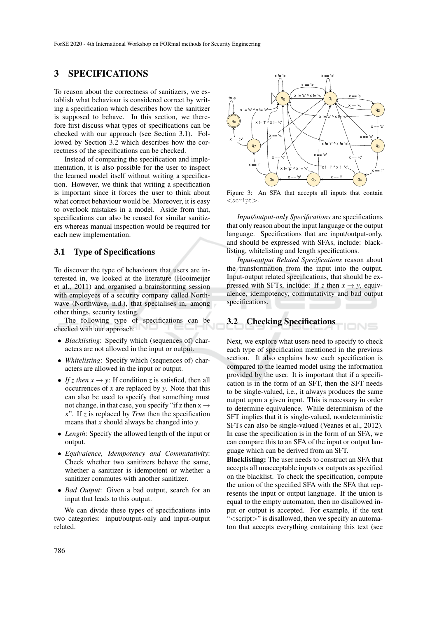## 3 SPECIFICATIONS

To reason about the correctness of sanitizers, we establish what behaviour is considered correct by writing a specification which describes how the sanitizer is supposed to behave. In this section, we therefore first discuss what types of specifications can be checked with our approach (see Section 3.1). Followed by Section 3.2 which describes how the correctness of the specifications can be checked.

Instead of comparing the specification and implementation, it is also possible for the user to inspect the learned model itself without writing a specification. However, we think that writing a specification is important since it forces the user to think about what correct behaviour would be. Moreover, it is easy to overlook mistakes in a model. Aside from that, specifications can also be reused for similar sanitizers whereas manual inspection would be required for each new implementation.

### 3.1 Type of Specifications

To discover the type of behaviours that users are interested in, we looked at the literature (Hooimeijer et al., 2011) and organised a brainstorming session with employees of a security company called Northwave (Northwave, n.d.), that specialises in, among other things, security testing.

The following type of specifications can be checked with our approach:

- *Blacklisting*: Specify which (sequences of) characters are not allowed in the input or output.
- *Whitelisting*: Specify which (sequences of) characters are allowed in the input or output.
- *If z then*  $x \rightarrow y$ : If condition *z* is satisfied, then all occurrences of *x* are replaced by *y*. Note that this can also be used to specify that something must not change, in that case, you specify "if z then  $x \rightarrow$ x". If *z* is replaced by *True* then the specification means that *x* should always be changed into *y*.
- *Length*: Specify the allowed length of the input or output.
- *Equivalence, Idempotency and Commutativity*: Check whether two sanitizers behave the same, whether a sanitizer is idempotent or whether a sanitizer commutes with another sanitizer.
- *Bad Output*: Given a bad output, search for an input that leads to this output.

We can divide these types of specifications into two categories: input/output-only and input-output related.



Figure 3: An SFA that accepts all inputs that contain <script>.

*Input/output-only Specifications* are specifications that only reason about the input language or the output language. Specifications that are input/output-only, and should be expressed with SFAs, include: blacklisting, whitelisting and length specifications.

*Input-output Related Specifications* reason about the transformation from the input into the output. Input-output related specifications, that should be expressed with SFTs, include: If *z* then  $x \rightarrow y$ , equivalence, idempotency, commutativity and bad output specifications.

IONS

## 3.2 Checking Specifications

Next, we explore what users need to specify to check each type of specification mentioned in the previous section. It also explains how each specification is compared to the learned model using the information provided by the user. It is important that if a specification is in the form of an SFT, then the SFT needs to be single-valued, i.e., it always produces the same output upon a given input. This is necessary in order to determine equivalence. While determinism of the SFT implies that it is single-valued, nondeterministic SFTs can also be single-valued (Veanes et al., 2012). In case the specification is in the form of an SFA, we can compare this to an SFA of the input or output language which can be derived from an SFT.

Blacklisting: The user needs to construct an SFA that accepts all unacceptable inputs or outputs as specified on the blacklist. To check the specification, compute the union of the specified SFA with the SFA that represents the input or output language. If the union is equal to the empty automaton, then no disallowed input or output is accepted. For example, if the text "<script>" is disallowed, then we specify an automaton that accepts everything containing this text (see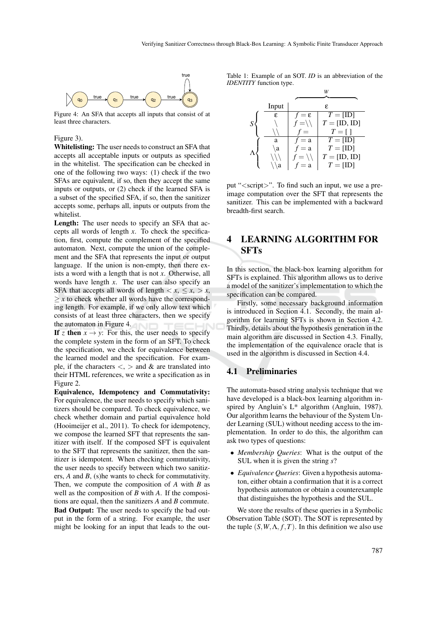

Figure 4: An SFA that accepts all inputs that consist of at least three characters.

#### Figure 3).

Whitelisting: The user needs to construct an SFA that accepts all acceptable inputs or outputs as specified in the whitelist. The specification can be checked in one of the following two ways: (1) check if the two SFAs are equivalent, if so, then they accept the same inputs or outputs, or (2) check if the learned SFA is a subset of the specified SFA, if so, then the sanitizer accepts some, perhaps all, inputs or outputs from the whitelist.

Length: The user needs to specify an SFA that accepts all words of length *x*. To check the specification, first, compute the complement of the specified automaton. Next, compute the union of the complement and the SFA that represents the input or output language. If the union is non-empty, then there exists a word with a length that is not *x*. Otherwise, all words have length *x*. The user can also specify an SFA that accepts all words of length  $\langle x, \leq x, \rangle x$ ,  $\geq x$  to check whether all words have the corresponding length. For example, if we only allow text which consists of at least three characters, then we specify the automaton in Figure 4.

If *z* then  $x \rightarrow y$ : For this, the user needs to specify the complete system in the form of an SFT. To check the specification, we check for equivalence between the learned model and the specification. For example, if the characters  $\langle \cdot \rangle$  and  $\&$  are translated into their HTML references, we write a specification as in Figure 2.

Equivalence, Idempotency and Commutativity: For equivalence, the user needs to specify which sanitizers should be compared. To check equivalence, we check whether domain and partial equivalence hold (Hooimeijer et al., 2011). To check for idempotency, we compose the learned SFT that represents the sanitizer with itself. If the composed SFT is equivalent to the SFT that represents the sanitizer, then the sanitizer is idempotent. When checking commutativity, the user needs to specify between which two sanitizers, *A* and *B*, (s)he wants to check for commutativity. Then, we compute the composition of *A* with *B* as well as the composition of *B* with *A*. If the compositions are equal, then the sanitizers *A* and *B* commute. Bad Output: The user needs to specify the bad output in the form of a string. For example, the user might be looking for an input that leads to the outTable 1: Example of an SOT. *ID* is an abbreviation of the *IDENTITY* function type.

|           | Input        |                   | ε                   |
|-----------|--------------|-------------------|---------------------|
|           | ε            | $f = \varepsilon$ | $T = [ID]$          |
| S         |              | $f = \setminus$   | $T = [ID, ID]$      |
|           |              | $f =$             | $T = \lceil \rceil$ |
|           | a            | $= a$             | $T = [ID]$          |
|           | $\mathbf{a}$ | $f = a$           | $T = [ID]$          |
| $\Lambda$ |              | $f = \setminus$   | $T = [ID, ID]$      |
|           | a            | $= a$             | $T = [ID]$          |

put "<script>". To find such an input, we use a preimage computation over the SFT that represents the sanitizer. This can be implemented with a backward breadth-first search.

# 4 LEARNING ALGORITHM FOR **SFTs**

In this section, the black-box learning algorithm for SFTs is explained. This algorithm allows us to derive a model of the sanitizer's implementation to which the specification can be compared.

Firstly, some necessary background information is introduced in Section 4.1. Secondly, the main algorithm for learning SFTs is shown in Section 4.2. Thirdly, details about the hypothesis generation in the main algorithm are discussed in Section 4.3. Finally, the implementation of the equivalence oracle that is used in the algorithm is discussed in Section 4.4.

### 4.1 Preliminaries

The automata-based string analysis technique that we have developed is a black-box learning algorithm inspired by Angluin's L\* algorithm (Angluin, 1987). Our algorithm learns the behaviour of the System Under Learning (SUL) without needing access to the implementation. In order to do this, the algorithm can ask two types of questions:

- *Membership Queries*: What is the output of the SUL when it is given the string *s*?
- *Equivalence Queries*: Given a hypothesis automaton, either obtain a confirmation that it is a correct hypothesis automaton or obtain a counterexample that distinguishes the hypothesis and the SUL.

We store the results of these queries in a Symbolic Observation Table (SOT). The SOT is represented by the tuple  $(S, W, \Lambda, f, T)$ . In this definition we also use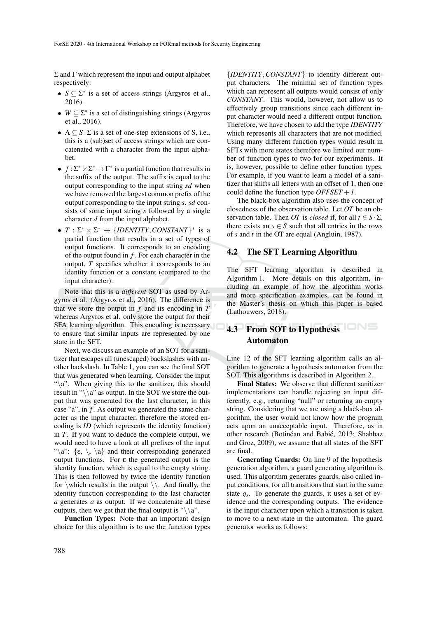Σ and Γ which represent the input and output alphabet respectively:

- $S \subseteq \Sigma^*$  is a set of access strings (Argyros et al., 2016).
- $W \subseteq \Sigma^*$  is a set of distinguishing strings (Argyros et al., 2016).
- $\Lambda \subseteq S \cdot \Sigma$  is a set of one-step extensions of S, i.e., this is a (sub)set of access strings which are concatenated with a character from the input alphabet.
- $f: \Sigma^* \times \Sigma^* \to \Gamma^*$  is a partial function that results in the suffix of the output. The suffix is equal to the output corresponding to the input string *sd* when we have removed the largest common prefix of the output corresponding to the input string *s*. *sd* consists of some input string *s* followed by a single character *d* from the input alphabet.
- $T : \Sigma^* \times \Sigma^* \to \{IDENTITY, CONSTANT\}^*$  is a partial function that results in a set of types of output functions. It corresponds to an encoding of the output found in *f* . For each character in the output, *T* specifies whether it corresponds to an identity function or a constant (compared to the input character).

Note that this is a *different* SOT as used by Argyros et al. (Argyros et al., 2016). The difference is that we store the output in  $f$  and its encoding in  $T$ whereas Argyros et al. only store the output for their SFA learning algorithm. This encoding is necessary to ensure that similar inputs are represented by one state in the SFT.

Next, we discuss an example of an SOT for a sanitizer that escapes all (unescaped) backslashes with another backslash. In Table 1, you can see the final SOT that was generated when learning. Consider the input " $\alpha$ ". When giving this to the sanitizer, this should result in " $\langle \alpha$ " as output. In the SOT we store the output that was generated for the last character, in this case "a", in *f*. As output we generated the same character as the input character, therefore the stored encoding is *ID* (which represents the identity function) in *T*. If you want to deduce the complete output, we would need to have a look at all prefixes of the input "\a":  $\{\varepsilon, \setminus, \setminus \varepsilon\}$  and their corresponding generated output functions. For ε the generated output is the identity function, which is equal to the empty string. This is then followed by twice the identity function for \which results in the output  $\setminus\$ . And finally, the identity function corresponding to the last character *a* generates *a* as output. If we concatenate all these outputs, then we get that the final output is " $\langle \alpha$ ".

Function Types: Note that an important design choice for this algorithm is to use the function types

{*IDENTITY*,*CONSTANT*} to identify different output characters. The minimal set of function types which can represent all outputs would consist of only *CONSTANT*. This would, however, not allow us to effectively group transitions since each different input character would need a different output function. Therefore, we have chosen to add the type *IDENTITY* which represents all characters that are not modified. Using many different function types would result in SFTs with more states therefore we limited our number of function types to two for our experiments. It is, however, possible to define other function types. For example, if you want to learn a model of a sanitizer that shifts all letters with an offset of 1, then one could define the function type *OFFSET* +*1*.

The black-box algorithm also uses the concept of closedness of the observation table. Let *OT* be an observation table. Then *OT* is *closed* if, for all  $t \in S \cdot \Sigma$ , there exists an  $s \in S$  such that all entries in the rows of *s* and *t* in the OT are equal (Angluin, 1987).

### 4.2 The SFT Learning Algorithm

The SFT learning algorithm is described in Algorithm 1. More details on this algorithm, including an example of how the algorithm works and more specification examples, can be found in the Master's thesis on which this paper is based (Lathouwers, 2018).

# 4.3 From SOT to Hypothesis Automaton

Line 12 of the SFT learning algorithm calls an algorithm to generate a hypothesis automaton from the SOT. This algorithms is described in Algorithm 2.

Final States: We observe that different sanitizer implementations can handle rejecting an input differently, e.g., returning "null" or returning an empty string. Considering that we are using a black-box algorithm, the user would not know how the program acts upon an unacceptable input. Therefore, as in other research (Botinčan and Babić, 2013; Shahbaz and Groz, 2009), we assume that all states of the SFT are final.

Generating Guards: On line 9 of the hypothesis generation algorithm, a guard generating algorithm is used. This algorithm generates guards, also called input conditions, for all transitions that start in the same state  $q_s$ . To generate the guards, it uses a set of evidence and the corresponding outputs. The evidence is the input character upon which a transition is taken to move to a next state in the automaton. The guard generator works as follows: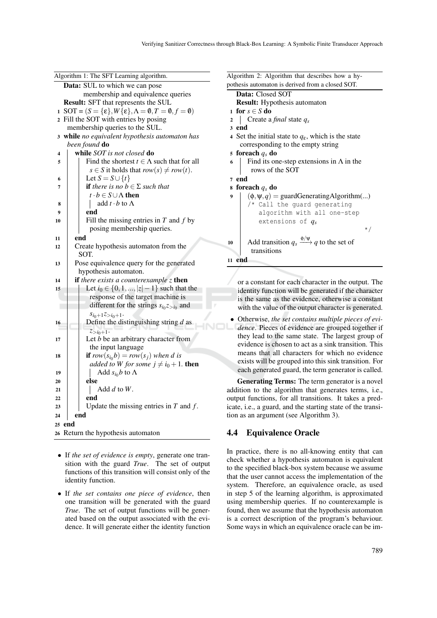|    | Algorithm 1: The SFT Learning algorithm.                                 |
|----|--------------------------------------------------------------------------|
|    | Data: SUL to which we can pose                                           |
|    | membership and equivalence queries                                       |
|    | <b>Result:</b> SFT that represents the SUL                               |
|    | 1 SOT = $(S = {\varepsilon}, W{\varepsilon}, \Lambda = 0, T = 0, f = 0)$ |
|    | 2 Fill the SOT with entries by posing                                    |
|    | membership queries to the SUL.                                           |
| 3  | while no equivalent hypothesis automaton has                             |
|    | been found do                                                            |
| 4  | while SOT is not closed do                                               |
| 5  | Find the shortest $t \in \Lambda$ such that for all                      |
|    | $s \in S$ it holds that $row(s) \neq row(t)$ .                           |
| 6  | Let $S = S \cup \{t\}$                                                   |
| 7  | <b>if</b> there is no $b \in \Sigma$ such that                           |
|    | $t \cdot b \in S \cup \Lambda$ then                                      |
| 8  | add $t \cdot b$ to $\Lambda$                                             |
| 9  | end                                                                      |
| 10 | Fill the missing entries in $T$ and $f$ by                               |
|    | posing membership queries.                                               |
| 11 | end                                                                      |
| 12 | Create hypothesis automaton from the                                     |
|    | SOT.                                                                     |
| 13 | Pose equivalence query for the generated                                 |
|    | hypothesis automaton.                                                    |
| 14 | if there exists a counterexample $z$ then                                |
| 15 | Let $i_0 \in \{0, 1, ,  z  - 1\}$ such that the                          |
|    | response of the target machine is                                        |
|    | different for the strings $s_{i_0}z_{>i_0}$ and                          |
|    | $s_{i_0+1}z_{>i_0+1}$ .                                                  |
| 16 | Define the distinguishing string $d$ as                                  |
|    | $z_{\geq i_0+1}$ .                                                       |
| 17 | Let $b$ be an arbitrary character from                                   |
|    | the input language                                                       |
| 18 | <b>if</b> row $(s_{i_0}b) = row(s_i)$ when d is                          |
|    | added to W for some $j \neq i_0 + 1$ . then                              |
| 19 | Add $s_{i_0}b$ to $\Lambda$                                              |
| 20 | else                                                                     |
| 21 | Add $d$ to $W$ .                                                         |
| 22 | end                                                                      |
| 23 | Update the missing entries in $T$ and $f$ .                              |
| 24 | end                                                                      |
| 25 | end                                                                      |
| 26 | Return the hypothesis automaton                                          |

- If *the set of evidence is empty*, generate one transition with the guard *True*. The set of output functions of this transition will consist only of the identity function.
- If *the set contains one piece of evidence*, then one transition will be generated with the guard *True*. The set of output functions will be generated based on the output associated with the evidence. It will generate either the identity function

Algorithm 2: Algorithm that describes how a hypothesis automaton is derived from a closed SOT. Data: Closed SOT Result: Hypothesis automaton

1 for  $s \in S$  do

<sup>2</sup> Create a *final* state *q<sup>s</sup>*

3 end

- <sup>4</sup> Set the initial state to *q*ε, which is the state corresponding to the empty string
- <sup>5</sup> foreach *q<sup>s</sup>* do
- 6 Find its one-step extensions in  $\Lambda$  in the rows of the SOT

7 end

```
8 foreach qs do
```

```
9 (φ, ψ, q) = guardGeneratingAlgorithm(...)
```

```
/* Call the guard generating
   algorithm with all one-step
   extensions of qs
```
10 Add transition  $q_s \xrightarrow{\phi/\psi} q$  to the set of transitions <sup>11</sup> end

or a constant for each character in the output. The identity function will be generated if the character is the same as the evidence, otherwise a constant with the value of the output character is generated.

\*/

• Otherwise, *the set contains multiple pieces of evidence*. Pieces of evidence are grouped together if they lead to the same state. The largest group of evidence is chosen to act as a sink transition. This means that all characters for which no evidence exists will be grouped into this sink transition. For each generated guard, the term generator is called.

Generating Terms: The term generator is a novel addition to the algorithm that generates terms, i.e., output functions, for all transitions. It takes a predicate, i.e., a guard, and the starting state of the transition as an argument (see Algorithm 3).

## 4.4 Equivalence Oracle

In practice, there is no all-knowing entity that can check whether a hypothesis automaton is equivalent to the specified black-box system because we assume that the user cannot access the implementation of the system. Therefore, an equivalence oracle, as used in step 5 of the learning algorithm, is approximated using membership queries. If no counterexample is found, then we assume that the hypothesis automaton is a correct description of the program's behaviour. Some ways in which an equivalence oracle can be im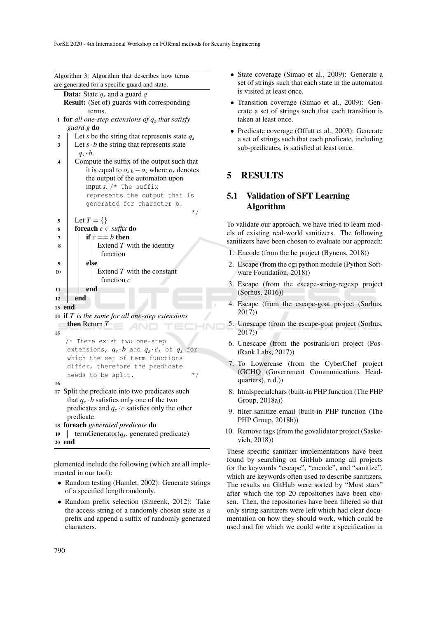Algorithm 3: Algorithm that describes how terms

are generated for a specific guard and state. Data: State *q<sup>s</sup>* and a guard *g* Result: (Set of) guards with corresponding terms. <sup>1</sup> for *all one-step extensions of q<sup>s</sup> that satisfy guard g* do 2 Let *s* be the string that represents state  $q_s$  $\mathbf{3}$  Let  $\mathbf{s} \cdot \mathbf{b}$  the string that represents state  $q_s \cdot b$ . 4 Compute the suffix of the output such that it is equal to  $o_{s \cdot b} - o_s$  where  $o_s$  denotes the output of the automaton upon input *s*. /\* The suffix represents the output that is generated for character b. \*/  $5 \mid \text{Let } T = \{\}$ 6 **foreach**  $c \in$  *suffix* do  $7 \mid \mathbf{if} \ c == b \ \mathbf{then}$  $\left| \begin{array}{c} | \\ | \end{array} \right|$  Extend *T* with the identity function  $9 \mid \cdot \cdot \cdot$  else 10 | Extend *T* with the constant function *c*  $11$  end 12 end <sup>13</sup> end <sup>14</sup> if *T is the same for all one-step extensions* then Return *T* 15 /\* There exist two one-step extensions,  $q_s \cdot b$  and  $q_s \cdot c$ , of  $q_s$  for which the set of term functions differ, therefore the predicate needs to be split.  $*$ 16 <sup>17</sup> Split the predicate into two predicates such that  $q_s \cdot b$  satisfies only one of the two predicates and  $q_s \cdot c$  satisfies only the other predicate. <sup>18</sup> foreach *generated predicate* do 19 | termGenerator $(q_s)$ , generated predicate) <sup>20</sup> end

plemented include the following (which are all implemented in our tool):

- Random testing (Hamlet, 2002): Generate strings of a specified length randomly.
- Random prefix selection (Smeenk, 2012): Take the access string of a randomly chosen state as a prefix and append a suffix of randomly generated characters.
- State coverage (Simao et al., 2009): Generate a set of strings such that each state in the automaton is visited at least once.
- Transition coverage (Simao et al., 2009): Generate a set of strings such that each transition is taken at least once.
- Predicate coverage (Offutt et al., 2003): Generate a set of strings such that each predicate, including sub-predicates, is satisfied at least once.

## 5 RESULTS

## 5.1 Validation of SFT Learning Algorithm

To validate our approach, we have tried to learn models of existing real-world sanitizers. The following sanitizers have been chosen to evaluate our approach:

- 1. Encode (from the he project (Bynens, 2018))
- 2. Escape (from the cgi python module (Python Software Foundation, 2018))
- 3. Escape (from the escape-string-regexp project (Sorhus, 2016))
- 4. Escape (from the escape-goat project (Sorhus, 2017))
- 5. Unescape (from the escape-goat project (Sorhus, 2017))
- 6. Unescape (from the postrank-uri project (PostRank Labs, 2017))
- 7. To Lowercase (from the CyberChef project (GCHQ (Government Communications Headquarters), n.d.))
- 8. htmlspecialchars (built-in PHP function (The PHP Group, 2018a))
- 9. filter sanitize email (built-in PHP function (The PHP Group, 2018b))
- 10. Remove tags (from the govalidator project (Saskevich, 2018))

These specific sanitizer implementations have been found by searching on GitHub among all projects for the keywords "escape", "encode", and "sanitize", which are keywords often used to describe sanitizers. The results on GitHub were sorted by "Most stars" after which the top 20 repositories have been chosen. Then, the repositories have been filtered so that only string sanitizers were left which had clear documentation on how they should work, which could be used and for which we could write a specification in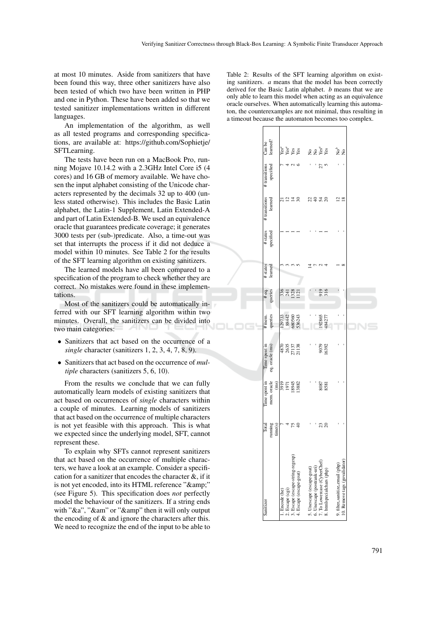at most 10 minutes. Aside from sanitizers that have been found this way, three other sanitizers have also been tested of which two have been written in PHP and one in Python. These have been added so that we tested sanitizer implementations written in different languages.

An implementation of the algorithm, as well as all tested programs and corresponding specifications, are available at: https://github.com/Sophietje/ SFTLearning.

The tests have been run on a MacBook Pro, running Mojave 10.14.2 with a 2.3GHz Intel Core i5 (4 cores) and 16 GB of memory available. We have chosen the input alphabet consisting of the Unicode characters represented by the decimals 32 up to 400 (unless stated otherwise). This includes the Basic Latin alphabet, the Latin-1 Supplement, Latin Extended-A and part of Latin Extended-B. We used an equivalence oracle that guarantees predicate coverage; it generates 3000 tests per (sub-)predicate. Also, a time-out was set that interrupts the process if it did not deduce a model within 10 minutes. See Table 2 for the results of the SFT learning algorithm on existing sanitizers.

The learned models have all been compared to a specification of the program to check whether they are correct. No mistakes were found in these implementations.

Most of the sanitizers could be automatically inferred with our SFT learning algorithm within two minutes. Overall, the sanitizers can be divided into two main categories:

- Sanitizers that act based on the occurrence of a *single* character (sanitizers 1, 2, 3, 4, 7, 8, 9).
- Sanitizers that act based on the occurrence of *multiple* characters (sanitizers 5, 6, 10).

From the results we conclude that we can fully automatically learn models of existing sanitizers that act based on occurrences of *single* characters within a couple of minutes. Learning models of sanitizers that act based on the occurrence of multiple characters is not yet feasible with this approach. This is what we expected since the underlying model, SFT, cannot represent these.

To explain why SFTs cannot represent sanitizers that act based on the occurrence of multiple characters, we have a look at an example. Consider a specification for a sanitizer that encodes the character &, if it is not yet encoded, into its HTML reference "&" (see Figure 5). This specification does *not* perfectly model the behaviour of the sanitizers. If a string ends with " $\&a$ ", " $\&\&\&\text{am}$ " or " $\&\&\text{amp}$ " then it will only output the encoding of & and ignore the characters after this. We need to recognize the end of the input to be able to

Table 2: Results of the SFT learning algorithm on existing sanitizers. *a* means that the model has been correctly derived for the Basic Latin alphabet. *b* means that we are only able to learn this model when acting as an equivalence oracle ourselves. When automatically learning this automaton, the counterexamples are not minimal, thus resulting in a timeout because the automaton becomes too complex.

| Sanitizer                                                                                                                                                     | Total   | Time spent in                       | Time spent in                              | # mem.                              |                         | # states | # states  | # transitions | # transitions | Can be          |  |
|---------------------------------------------------------------------------------------------------------------------------------------------------------------|---------|-------------------------------------|--------------------------------------------|-------------------------------------|-------------------------|----------|-----------|---------------|---------------|-----------------|--|
|                                                                                                                                                               | running | mem. oracle                         | eq. oracle (ms)                            | queries                             | #eq.                    | learned  | specified | learned       | specified     | learned?        |  |
|                                                                                                                                                               | time(s) |                                     |                                            |                                     |                         |          |           |               |               |                 |  |
| . Encode (he)                                                                                                                                                 |         |                                     |                                            |                                     |                         |          |           | ಸ             |               |                 |  |
|                                                                                                                                                               |         |                                     |                                            |                                     |                         |          |           |               |               |                 |  |
|                                                                                                                                                               |         | $\frac{(m)}{3919}$<br>1971<br>19345 | $\frac{1}{4870}$<br>2635<br>27138<br>21138 |                                     | $336$<br>$133$<br>$121$ |          |           | 21.38         |               | ង<br>និង<br>និង |  |
| $\begin{array}{l} \textbf{2.~} \text{Escape (egi)}\\ \textbf{3.~} \text{Escape (escape-string-regexp)}\\ \textbf{4.~} \text{Escape (escape-gat)} \end{array}$ | 75 Q    |                                     |                                            | 129733<br>88442<br>680560<br>536243 |                         |          |           |               |               |                 |  |
|                                                                                                                                                               |         |                                     |                                            |                                     |                         |          |           |               |               |                 |  |
| 5. Unescape (escape-goat)                                                                                                                                     |         |                                     |                                            |                                     |                         |          |           |               |               |                 |  |
|                                                                                                                                                               |         |                                     |                                            |                                     |                         |          |           |               |               |                 |  |
| 6. Unescape (postrank-uri)<br>7. To Lowercase (CyberChef)                                                                                                     |         | -<br>8087<br>8581                   |                                            |                                     |                         |          |           | 29.78         |               | ៹ៜ៵៓៵           |  |
| 8. htmlspecialchars (php)                                                                                                                                     | 23      |                                     | 9079<br>16392                              | -92865<br>484277                    | 919<br>316              |          |           |               |               |                 |  |
|                                                                                                                                                               |         |                                     |                                            |                                     |                         |          |           |               |               |                 |  |
| 9. filter_sanitize_email (php)                                                                                                                                |         |                                     |                                            | Ī                                   |                         |          |           | $\frac{2}{8}$ |               | ್ಲಿ ಜಿ          |  |
| 10. Remove tags (govalidator)                                                                                                                                 |         |                                     |                                            |                                     |                         |          |           |               |               |                 |  |
|                                                                                                                                                               |         |                                     |                                            |                                     |                         |          |           |               |               |                 |  |
|                                                                                                                                                               |         |                                     |                                            |                                     |                         |          |           |               |               |                 |  |
|                                                                                                                                                               |         |                                     |                                            |                                     |                         |          |           |               |               |                 |  |
|                                                                                                                                                               |         |                                     |                                            |                                     |                         |          |           |               |               |                 |  |
|                                                                                                                                                               |         |                                     |                                            |                                     |                         |          |           |               |               |                 |  |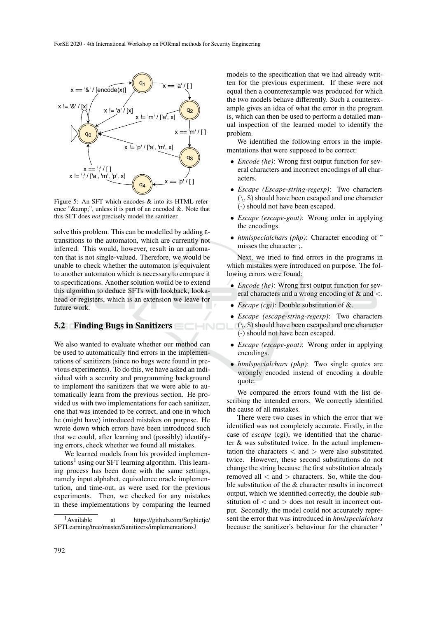

Figure 5: An SFT which encodes & into its HTML reference " $\&$ amp;", unless it is part of an encoded  $\&$ . Note that this SFT does *not* precisely model the sanitizer.

solve this problem. This can be modelled by adding εtransitions to the automaton, which are currently not inferred. This would, however, result in an automaton that is not single-valued. Therefore, we would be unable to check whether the automaton is equivalent to another automaton which is necessary to compare it to specifications. Another solution would be to extend this algorithm to deduce SFTs with lookback, lookahead or registers, which is an extension we leave for future work.

### 5.2 Finding Bugs in Sanitizers

We also wanted to evaluate whether our method can be used to automatically find errors in the implementations of sanitizers (since no bugs were found in previous experiments). To do this, we have asked an individual with a security and programming background to implement the sanitizers that we were able to automatically learn from the previous section. He provided us with two implementations for each sanitizer, one that was intended to be correct, and one in which he (might have) introduced mistakes on purpose. He wrote down which errors have been introduced such that we could, after learning and (possibly) identifying errors, check whether we found all mistakes.

We learned models from his provided implementations<sup>1</sup> using our SFT learning algorithm. This learning process has been done with the same settings, namely input alphabet, equivalence oracle implementation, and time-out, as were used for the previous experiments. Then, we checked for any mistakes in these implementations by comparing the learned

models to the specification that we had already written for the previous experiment. If these were not equal then a counterexample was produced for which the two models behave differently. Such a counterexample gives an idea of what the error in the program is, which can then be used to perform a detailed manual inspection of the learned model to identify the problem.

We identified the following errors in the implementations that were supposed to be correct:

- *Encode (he)*: Wrong first output function for several characters and incorrect encodings of all characters.
- *Escape (Escape-string-regexp)*: Two characters  $(\mathcal{C}, \mathcal{S})$  should have been escaped and one character (-) should not have been escaped.
- *Escape (escape-goat)*: Wrong order in applying the encodings.
- *htmlspecialchars (php)*: Character encoding of " misses the character ;.

Next, we tried to find errors in the programs in which mistakes were introduced on purpose. The following errors were found:

- *Encode (he)*: Wrong first output function for several characters and a wrong encoding of & and <.
- *Escape (cgi)*: Double substitution of &.
- *Escape (escape-string-regexp)*: Two characters  $(\xi, \mathcal{S})$  should have been escaped and one character (-) should not have been escaped.
- *Escape (escape-goat)*: Wrong order in applying encodings.
- *htmlspecialchars (php)*: Two single quotes are wrongly encoded instead of encoding a double quote.

We compared the errors found with the list describing the intended errors. We correctly identified the cause of all mistakes.

There were two cases in which the error that we identified was not completely accurate. Firstly, in the case of *escape* (cgi), we identified that the character & was substituted twice. In the actual implementation the characters  $\langle$  and  $\rangle$  were also substituted twice. However, these second substitutions do not change the string because the first substitution already removed all  $\langle$  and  $\rangle$  characters. So, while the double substitution of the & character results in incorrect output, which we identified correctly, the double substitution of  $\langle$  and  $\rangle$  does not result in incorrect output. Secondly, the model could not accurately represent the error that was introduced in *htmlspecialchars* because the sanitizer's behaviour for the character '

<sup>1</sup>Available at https://github.com/Sophietje/ SFTLearning/tree/master/Sanitizers/implementationsJ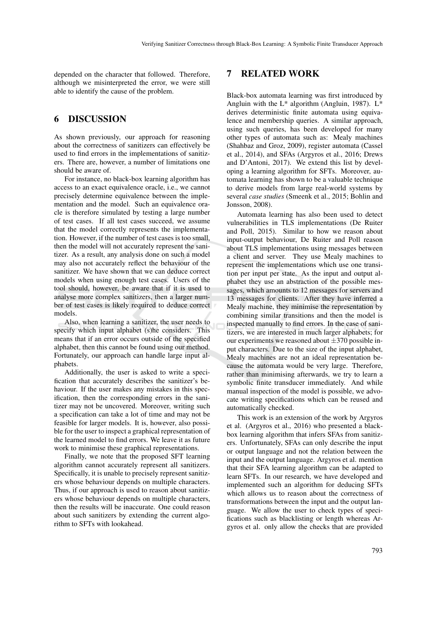depended on the character that followed. Therefore, although we misinterpreted the error, we were still able to identify the cause of the problem.

## 6 DISCUSSION

As shown previously, our approach for reasoning about the correctness of sanitizers can effectively be used to find errors in the implementations of sanitizers. There are, however, a number of limitations one should be aware of.

For instance, no black-box learning algorithm has access to an exact equivalence oracle, i.e., we cannot precisely determine equivalence between the implementation and the model. Such an equivalence oracle is therefore simulated by testing a large number of test cases. If all test cases succeed, we assume that the model correctly represents the implementation. However, if the number of test cases is too small, then the model will not accurately represent the sanitizer. As a result, any analysis done on such a model may also not accurately reflect the behaviour of the sanitizer. We have shown that we can deduce correct models when using enough test cases. Users of the tool should, however, be aware that if it is used to analyse more complex sanitizers, then a larger number of test cases is likely required to deduce correct models.

Also, when learning a sanitizer, the user needs to specify which input alphabet (s)he considers. This means that if an error occurs outside of the specified alphabet, then this cannot be found using our method. Fortunately, our approach can handle large input alphabets.

Additionally, the user is asked to write a specification that accurately describes the sanitizer's behaviour. If the user makes any mistakes in this specification, then the corresponding errors in the sanitizer may not be uncovered. Moreover, writing such a specification can take a lot of time and may not be feasible for larger models. It is, however, also possible for the user to inspect a graphical representation of the learned model to find errors. We leave it as future work to minimise these graphical representations.

Finally, we note that the proposed SFT learning algorithm cannot accurately represent all sanitizers. Specifically, it is unable to precisely represent sanitizers whose behaviour depends on multiple characters. Thus, if our approach is used to reason about sanitizers whose behaviour depends on multiple characters, then the results will be inaccurate. One could reason about such sanitizers by extending the current algorithm to SFTs with lookahead.

## 7 RELATED WORK

Black-box automata learning was first introduced by Angluin with the  $L^*$  algorithm (Angluin, 1987).  $L^*$ derives deterministic finite automata using equivalence and membership queries. A similar approach, using such queries, has been developed for many other types of automata such as: Mealy machines (Shahbaz and Groz, 2009), register automata (Cassel et al., 2014), and SFAs (Argyros et al., 2016; Drews and D'Antoni, 2017). We extend this list by developing a learning algorithm for SFTs. Moreover, automata learning has shown to be a valuable technique to derive models from large real-world systems by several *case studies* (Smeenk et al., 2015; Bohlin and Jonsson, 2008).

Automata learning has also been used to detect vulnerabilities in TLS implementations (De Ruiter and Poll, 2015). Similar to how we reason about input-output behaviour, De Ruiter and Poll reason about TLS implementations using messages between a client and server. They use Mealy machines to represent the implementations which use one transition per input per state. As the input and output alphabet they use an abstraction of the possible messages, which amounts to 12 messages for servers and 13 messages for clients. After they have inferred a Mealy machine, they minimise the representation by combining similar transitions and then the model is inspected manually to find errors. In the case of sanitizers, we are interested in much larger alphabets; for our experiments we reasoned about  $\pm 370$  possible input characters. Due to the size of the input alphabet, Mealy machines are not an ideal representation because the automata would be very large. Therefore, rather than minimising afterwards, we try to learn a symbolic finite transducer immediately. And while manual inspection of the model is possible, we advocate writing specifications which can be reused and automatically checked.

This work is an extension of the work by Argyros et al. (Argyros et al., 2016) who presented a blackbox learning algorithm that infers SFAs from sanitizers. Unfortunately, SFAs can only describe the input or output language and not the relation between the input and the output language. Argyros et al. mention that their SFA learning algorithm can be adapted to learn SFTs. In our research, we have developed and implemented such an algorithm for deducing SFTs which allows us to reason about the correctness of transformations between the input and the output language. We allow the user to check types of specifications such as blacklisting or length whereas Argyros et al. only allow the checks that are provided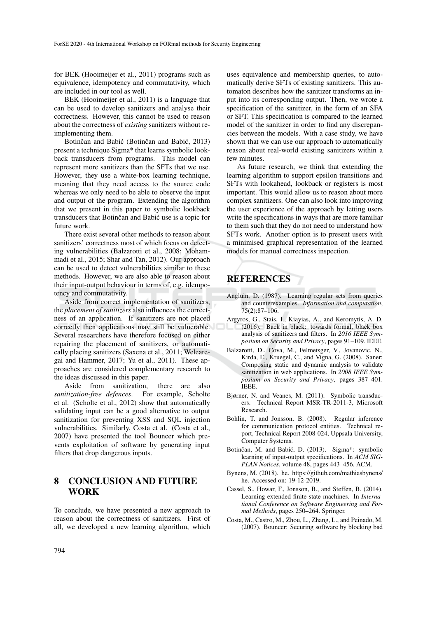for BEK (Hooimeijer et al., 2011) programs such as equivalence, idempotency and commutativity, which are included in our tool as well.

BEK (Hooimeijer et al., 2011) is a language that can be used to develop sanitizers and analyse their correctness. However, this cannot be used to reason about the correctness of *existing* sanitizers without reimplementing them.

Botinčan and Babić (Botinčan and Babić, 2013) present a technique Sigma\* that learns symbolic lookback transducers from programs. This model can represent more sanitizers than the SFTs that we use. However, they use a white-box learning technique, meaning that they need access to the source code whereas we only need to be able to observe the input and output of the program. Extending the algorithm that we present in this paper to symbolic lookback transducers that Botinčan and Babić use is a topic for future work.

There exist several other methods to reason about sanitizers' correctness most of which focus on detecting vulnerabilities (Balzarotti et al., 2008; Mohammadi et al., 2015; Shar and Tan, 2012). Our approach can be used to detect vulnerabilities similar to these methods. However, we are also able to reason about their input-output behaviour in terms of, e.g. idempotency and commutativity.

Aside from correct implementation of sanitizers, the *placement of sanitizers* also influences the correctness of an application. If sanitizers are not placed correctly then applications may still be vulnerable. Several researchers have therefore focused on either repairing the placement of sanitizers, or automatically placing sanitizers (Saxena et al., 2011; Welearegai and Hammer, 2017; Yu et al., 2011). These approaches are considered complementary research to the ideas discussed in this paper.

Aside from sanitization, there are also *sanitization-free defences*. For example, Scholte et al. (Scholte et al., 2012) show that automatically validating input can be a good alternative to output sanitization for preventing XSS and SQL injection vulnerabilities. Similarly, Costa et al. (Costa et al., 2007) have presented the tool Bouncer which prevents exploitation of software by generating input filters that drop dangerous inputs.

## 8 CONCLUSION AND FUTURE WORK

To conclude, we have presented a new approach to reason about the correctness of sanitizers. First of all, we developed a new learning algorithm, which

uses equivalence and membership queries, to automatically derive SFTs of existing sanitizers. This automaton describes how the sanitizer transforms an input into its corresponding output. Then, we wrote a specification of the sanitizer, in the form of an SFA or SFT. This specification is compared to the learned model of the sanitizer in order to find any discrepancies between the models. With a case study, we have shown that we can use our approach to automatically reason about real-world existing sanitizers within a few minutes.

As future research, we think that extending the learning algorithm to support epsilon transitions and SFTs with lookahead, lookback or registers is most important. This would allow us to reason about more complex sanitizers. One can also look into improving the user experience of the approach by letting users write the specifications in ways that are more familiar to them such that they do not need to understand how SFTs work. Another option is to present users with a minimised graphical representation of the learned models for manual correctness inspection.

## REFERENCES

- Angluin, D. (1987). Learning regular sets from queries and counterexamples. *Information and computation*, 75(2):87–106.
- Argyros, G., Stais, I., Kiayias, A., and Keromytis, A. D. (2016). Back in black: towards formal, black box analysis of sanitizers and filters. In *2016 IEEE Symposium on Security and Privacy*, pages 91–109. IEEE.
- Balzarotti, D., Cova, M., Felmetsger, V., Jovanovic, N., Kirda, E., Kruegel, C., and Vigna, G. (2008). Saner: Composing static and dynamic analysis to validate sanitization in web applications. In *2008 IEEE Symposium on Security and Privacy*, pages 387–401. IEEE.
- Bjørner, N. and Veanes, M. (2011). Symbolic transducers. Technical Report MSR-TR-2011-3, Microsoft Research.
- Bohlin, T. and Jonsson, B. (2008). Regular inference for communication protocol entities. Technical report, Technical Report 2008-024, Uppsala University, Computer Systems.
- Botinčan, M. and Babić, D. (2013). Sigma\*: symbolic learning of input-output specifications. In *ACM SIG-PLAN Notices*, volume 48, pages 443–456. ACM.
- Bynens, M. (2018). he. https://github.com/mathiasbynens/ he. Accessed on: 19-12-2019.
- Cassel, S., Howar, F., Jonsson, B., and Steffen, B. (2014). Learning extended finite state machines. In *International Conference on Software Engineering and Formal Methods*, pages 250–264. Springer.
- Costa, M., Castro, M., Zhou, L., Zhang, L., and Peinado, M. (2007). Bouncer: Securing software by blocking bad